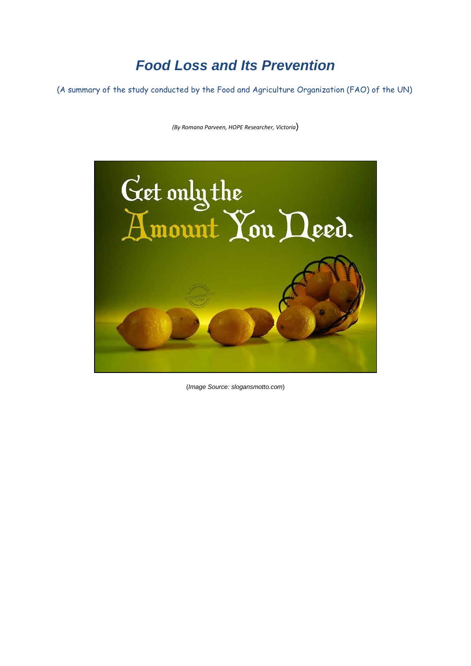# *Food Loss and Its Prevention*

(A summary of the study conducted by the Food and Agriculture Organization (FAO) of the UN)

*(By Romana Parveen, HOPE Researcher, Victoria*)



(*Image Source: slogansmotto.com*)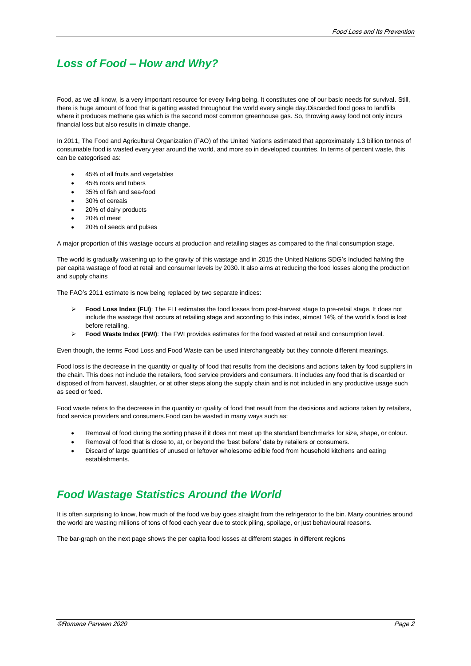## *Loss of Food – How and Why?*

Food, as we all know, is a very important resource for every living being. It constitutes one of our basic needs for survival. Still, there is huge amount of food that is getting wasted throughout the world every single day.Discarded food goes to landfills where it produces methane gas which is the second most common greenhouse gas. So, throwing away food not only incurs financial loss but also results in climate change.

In 2011, The Food and Agricultural Organization (FAO) of the United Nations estimated that approximately 1.3 billion tonnes of consumable food is wasted every year around the world, and more so in developed countries. In terms of percent waste, this can be categorised as:

- 45% of all fruits and vegetables
- 45% roots and tubers
- 35% of fish and sea-food
- 30% of cereals
- 20% of dairy products
- 20% of meat
- 20% oil seeds and pulses

A major proportion of this wastage occurs at production and retailing stages as compared to the final consumption stage.

The world is gradually wakening up to the gravity of this wastage and in 2015 the United Nations SDG's included halving the per capita wastage of food at retail and consumer levels by 2030. It also aims at reducing the food losses along the production and supply chains

The FAO's 2011 estimate is now being replaced by two separate indices:

- **Food Loss Index (FLI):** The FLI estimates the food losses from post-harvest stage to pre-retail stage. It does not include the wastage that occurs at retailing stage and according to this index, almost 14% of the world's food is lost before retailing.
- ➢ **Food Waste Index (FWI)**: The FWI provides estimates for the food wasted at retail and consumption level.

Even though, the terms Food Loss and Food Waste can be used interchangeably but they connote different meanings.

Food loss is the decrease in the quantity or quality of food that results from the decisions and actions taken by food suppliers in the chain. This does not include the retailers, food service providers and consumers. It includes any food that is discarded or disposed of from harvest, slaughter, or at other steps along the supply chain and is not included in any productive usage such as seed or feed.

Food waste refers to the decrease in the quantity or quality of food that result from the decisions and actions taken by retailers, food service providers and consumers.Food can be wasted in many ways such as:

- Removal of food during the sorting phase if it does not meet up the standard benchmarks for size, shape, or colour.
- Removal of food that is close to, at, or beyond the 'best before' date by retailers or consumers.
- Discard of large quantities of unused or leftover wholesome edible food from household kitchens and eating establishments.

### *Food Wastage Statistics Around the World*

It is often surprising to know, how much of the food we buy goes straight from the refrigerator to the bin. Many countries around the world are wasting millions of tons of food each year due to stock piling, spoilage, or just behavioural reasons.

The bar-graph on the next page shows the per capita food losses at different stages in different regions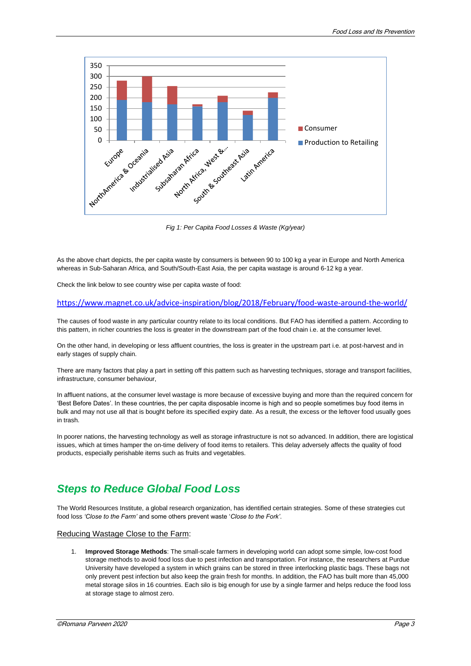

*Fig 1: Per Capita Food Losses & Waste (Kg/year)*

As the above chart depicts, the per capita waste by consumers is between 90 to 100 kg a year in Europe and North America whereas in Sub-Saharan Africa, and South/South-East Asia, the per capita wastage is around 6-12 kg a year.

Check the link below to see country wise per capita waste of food:

#### <https://www.magnet.co.uk/advice-inspiration/blog/2018/February/food-waste-around-the-world/>

The causes of food waste in any particular country relate to its local conditions. But FAO has identified a pattern. According to this pattern, in richer countries the loss is greater in the downstream part of the food chain i.e. at the consumer level.

On the other hand, in developing or less affluent countries, the loss is greater in the upstream part i.e. at post-harvest and in early stages of supply chain.

There are many factors that play a part in setting off this pattern such as harvesting techniques, storage and transport facilities, infrastructure, consumer behaviour,

In affluent nations, at the consumer level wastage is more because of excessive buying and more than the required concern for 'Best Before Dates'. In these countries, the per capita disposable income is high and so people sometimes buy food items in bulk and may not use all that is bought before its specified expiry date. As a result, the excess or the leftover food usually goes in trash.

In poorer nations, the harvesting technology as well as storage infrastructure is not so advanced. In addition, there are logistical issues, which at times hamper the on-time delivery of food items to retailers. This delay adversely affects the quality of food products, especially perishable items such as fruits and vegetables.

### *Steps to Reduce Global Food Loss*

The World Resources Institute, a global research organization, has identified certain strategies. Some of these strategies cut food loss *'Close to the Farm'* and some others prevent waste '*Close to the Fork'*.

#### Reducing Wastage Close to the Farm:

1. **Improved Storage Methods**: The small-scale farmers in developing world can adopt some simple, low-cost food storage methods to avoid food loss due to pest infection and transportation. For instance, the researchers at Purdue University have developed a system in which grains can be stored in three interlocking plastic bags. These bags not only prevent pest infection but also keep the grain fresh for months. In addition, the FAO has built more than 45,000 metal storage silos in 16 countries. Each silo is big enough for use by a single farmer and helps reduce the food loss at storage stage to almost zero.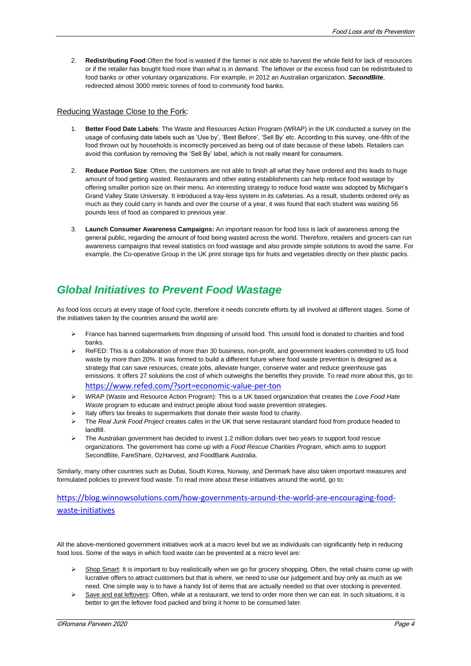2. **Redistributing Food**:Often the food is wasted if the farmer is not able to harvest the whole field for lack of resources or if the retailer has bought food more than what is in demand. The leftover or the excess food can be redistributed to food banks or other voluntary organizations. For example, in 2012 an Australian organization, *SecondBite*, redirected almost 3000 metric tonnes of food to community food banks.

#### Reducing Wastage Close to the Fork:

- 1. **Better Food Date Labels**: The Waste and Resources Action Program (WRAP) in the UK conducted a survey on the usage of confusing date labels such as 'Use by', 'Best Before', 'Sell By' etc. According to this survey, one-fifth of the food thrown out by households is incorrectly perceived as being out of date because of these labels. Retailers can avoid this confusion by removing the 'Sell By' label, which is not really meant for consumers.
- 2. **Reduce Portion Size**: Often, the customers are not able to finish all what they have ordered and this leads to huge amount of food getting wasted. Restaurants and other eating establishments can help reduce food wastage by offering smaller portion size on their menu. An interesting strategy to reduce food waste was adopted by Michigan's Grand Valley State University. It introduced a tray-less system in its cafeterias. As a result, students ordered only as much as they could carry in hands and over the course of a year, it was found that each student was wasting 56 pounds less of food as compared to previous year.
- 3. **Launch Consumer Awareness Campaigns:** An important reason for food loss is lack of awareness among the general public, regarding the amount of food being wasted across the world. Therefore, retailers and grocers can run awareness campaigns that reveal statistics on food wastage and also provide simple solutions to avoid the same. For example, the Co-operative Group in the UK print storage tips for fruits and vegetables directly on their plastic packs.

### *Global Initiatives to Prevent Food Wastage*

As food loss occurs at every stage of food cycle, therefore it needs concrete efforts by all involved at different stages. Some of the initiatives taken by the countries around the world are:

- ➢ France has banned supermarkets from disposing of unsold food. This unsold food is donated to charities and food banks.
- ➢ ReFED: This is a collaboration of more than 30 business, non-profit, and government leaders committed to US food waste by more than 20%. It was formed to build a different future where food waste prevention is designed as a strategy that can save resources, create jobs, alleviate hunger, conserve water and reduce greenhouse gas emissions. It offers 27 solutions the cost of which outweighs the benefits they provide. To read more about this, go to: <https://www.refed.com/?sort=economic-value-per-ton>
- ➢ WRAP (Waste and Resource Action Program): This is a UK based organization that creates the *Love Food Hate Waste* program to educate and instruct people about food waste prevention strategies.
- Italy offers tax breaks to supermarkets that donate their waste food to charity.
- ➢ The *Real Junk Food Project* creates cafes in the UK that serve restaurant standard food from produce headed to landfill.
- ➢ The Australian government has decided to invest 1.2 million dollars over two years to support food rescue organizations. The government has come up with a *Food Rescue Charities Program*, which aims to support SecondBite, FareShare, OzHarvest, and FoodBank Australia.

Similarly, many other countries such as Dubai, South Korea, Norway, and Denmark have also taken important measures and formulated policies to prevent food waste. To read more about these initiatives around the world, go to:

[https://blog.winnowsolutions.com/how-governments-around-the-world-are-encouraging-food](https://blog.winnowsolutions.com/how-governments-around-the-world-are-encouraging-food-waste-initiatives)[waste-initiatives](https://blog.winnowsolutions.com/how-governments-around-the-world-are-encouraging-food-waste-initiatives)

All the above-mentioned government initiatives work at a macro level but we as individuals can significantly help in reducing food loss. Some of the ways in which food waste can be prevented at a micro level are:

- ➢ Shop Smart: It is important to buy realistically when we go for grocery shopping. Often, the retail chains come up with lucrative offers to attract customers but that is where, we need to use our judgement and buy only as much as we need. One simple way is to have a handy list of items that are actually needed so that over stocking is prevented.
- ➢ Save and eat leftovers: Often, while at a restaurant, we tend to order more then we can eat. In such situations, it is better to get the leftover food packed and bring it home to be consumed later.